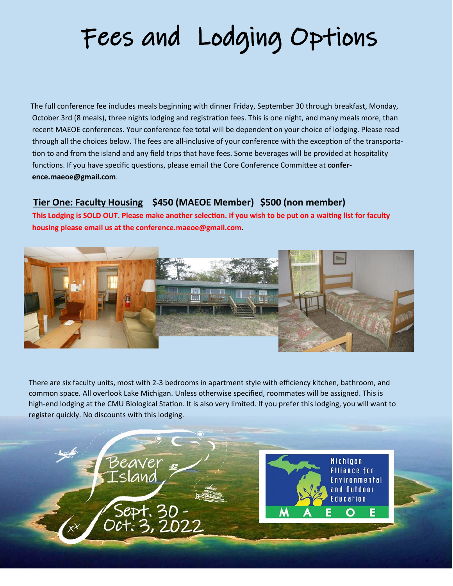## Fees and Lodging Options

The full conference fee includes meals beginning with dinner Friday, September 30 through breakfast, Monday, October 3rd (8 meals), three nights lodging and registration fees. This is one night, and many meals more, than recent MAEOE conferences. Your conference fee total will be dependent on your choice of lodging. Please read through all the choices below. The fees are all-inclusive of your conference with the exception of the transportation to and from the island and any field trips that have fees. Some beverages will be provided at hospitality functions. If you have specific questions, please email the Core Conference Committee at **conference.maeoe@gmail.com**.

#### **Tier One: Faculty Housing \$450 (MAEOE Member) \$500 (non member)**

 **This Lodging is SOLD OUT. Please make another selection. If you wish to be put on a waiting list for faculty housing please email us at the conference.maeoe@gmail.com**.



There are six faculty units, most with 2-3 bedrooms in apartment style with efficiency kitchen, bathroom, and common space. All overlook Lake Michigan. Unless otherwise specified, roommates will be assigned. This is high-end lodging at the CMU Biological Station. It is also very limited. If you prefer this lodging, you will want to register quickly. No discounts with this lodging.



Michigan Alliance for vironmental and Outdoor Education F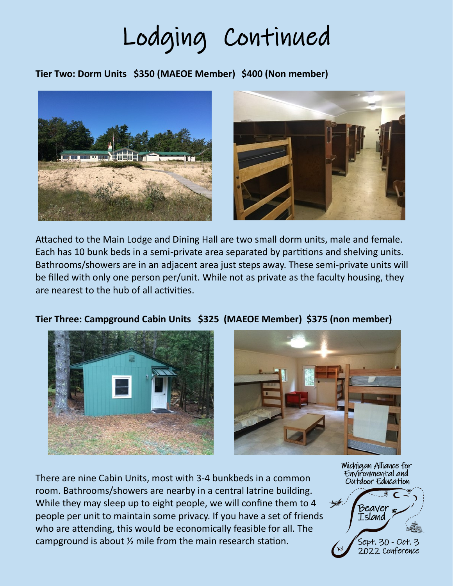Lodging Continued

**Tier Two: Dorm Units \$350 (MAEOE Member) \$400 (Non member)**





Attached to the Main Lodge and Dining Hall are two small dorm units, male and female. Each has 10 bunk beds in a semi-private area separated by partitions and shelving units. Bathrooms/showers are in an adjacent area just steps away. These semi-private units will be filled with only one person per/unit. While not as private as the faculty housing, they are nearest to the hub of all activities.





There are nine Cabin Units, most with 3-4 bunkbeds in a common room. Bathrooms/showers are nearby in a central latrine building. While they may sleep up to eight people, we will confine them to 4 people per unit to maintain some privacy. If you have a set of friends who are attending, this would be economically feasible for all. The campground is about ½ mile from the main research station.

Michigan Alliance for Environmental and Outdoor Education



### **Tier Three: Campground Cabin Units \$325 (MAEOE Member) \$375 (non member)**